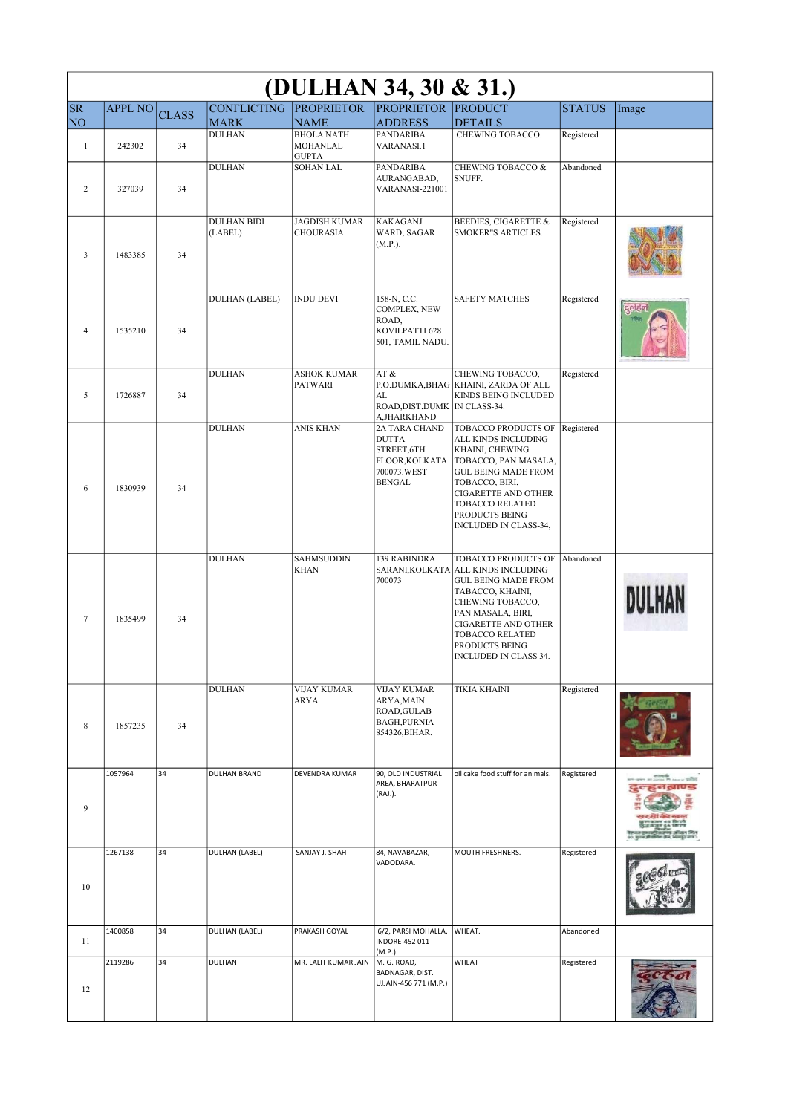| (DULHAN 34, 30 & 31.)           |                |              |                               |                                                     |                                                                                                      |                                                                                                                                                                                                                                                          |               |          |  |
|---------------------------------|----------------|--------------|-------------------------------|-----------------------------------------------------|------------------------------------------------------------------------------------------------------|----------------------------------------------------------------------------------------------------------------------------------------------------------------------------------------------------------------------------------------------------------|---------------|----------|--|
| <b>SR</b>                       | <b>APPL NO</b> | <b>CLASS</b> | CONFLICTING PROPRIETOR        |                                                     | <b>PROPRIETOR PRODUCT</b>                                                                            |                                                                                                                                                                                                                                                          | <b>STATUS</b> | Image    |  |
| NO <sub>1</sub><br>$\mathbf{1}$ | 242302         | 34           | <b>MARK</b><br><b>DULHAN</b>  | <b>NAME</b><br><b>BHOLA NATH</b><br><b>MOHANLAL</b> | <b>ADDRESS</b><br><b>PANDARIBA</b><br>VARANASI.1                                                     | <b>DETAILS</b><br>CHEWING TOBACCO.                                                                                                                                                                                                                       | Registered    |          |  |
| 2                               | 327039         | 34           | <b>DULHAN</b>                 | <b>GUPTA</b><br><b>SOHAN LAL</b>                    | <b>PANDARIBA</b><br>AURANGABAD,<br>VARANASI-221001                                                   | CHEWING TOBACCO &<br>SNUFF.                                                                                                                                                                                                                              | Abandoned     |          |  |
| 3                               | 1483385        | 34           | <b>DULHAN BIDI</b><br>(LABEL) | <b>JAGDISH KUMAR</b><br><b>CHOURASIA</b>            | <b>KAKAGANJ</b><br>WARD, SAGAR<br>(M.P.).                                                            | <b>BEEDIES, CIGARETTE &amp;</b><br><b>SMOKER"S ARTICLES.</b>                                                                                                                                                                                             | Registered    |          |  |
| 4                               | 1535210        | 34           | <b>DULHAN (LABEL)</b>         | <b>INDU DEVI</b>                                    | 158-N, C.C.<br>COMPLEX, NEW<br>ROAD,<br>KOVILPATTI 628<br>501, TAMIL NADU.                           | <b>SAFETY MATCHES</b>                                                                                                                                                                                                                                    | Registered    | रद्धान्य |  |
| 5                               | 1726887        | 34           | <b>DULHAN</b>                 | <b>ASHOK KUMAR</b><br><b>PATWARI</b>                | AT&<br>AL<br>ROAD, DIST. DUMK   IN CLASS-34.<br>A, JHARKHAND                                         | CHEWING TOBACCO,<br>P.O.DUMKA, BHAG KHAINI, ZARDA OF ALL<br>KINDS BEING INCLUDED                                                                                                                                                                         | Registered    |          |  |
| 6                               | 1830939        | 34           | <b>DULHAN</b>                 | ANIS KHAN                                           | <b>2A TARA CHAND</b><br><b>DUTTA</b><br>STREET.6TH<br>FLOOR, KOLKATA<br>700073.WEST<br><b>BENGAL</b> | TOBACCO PRODUCTS OF<br>ALL KINDS INCLUDING<br>KHAINI, CHEWING<br>TOBACCO, PAN MASALA,<br><b>GUL BEING MADE FROM</b><br>TOBACCO, BIRI,<br><b>CIGARETTE AND OTHER</b><br><b>TOBACCO RELATED</b><br>PRODUCTS BEING<br>INCLUDED IN CLASS-34,                 | Registered    |          |  |
| 7                               | 1835499        | 34           | <b>DULHAN</b>                 | <b>SAHMSUDDIN</b><br><b>KHAN</b>                    | 139 RABINDRA<br>700073                                                                               | TOBACCO PRODUCTS OF<br>SARANI, KOLKATA ALL KINDS INCLUDING<br><b>GUL BEING MADE FROM</b><br>TABACCO, KHAINI,<br>CHEWING TOBACCO,<br>PAN MASALA, BIRI,<br><b>CIGARETTE AND OTHER</b><br><b>TOBACCO RELATED</b><br>PRODUCTS BEING<br>INCLUDED IN CLASS 34. | Abandoned     | DULHA    |  |
| 8                               | 1857235        | 34           | <b>DULHAN</b>                 | <b>VIJAY KUMAR</b><br>ARYA                          | <b>VIJAY KUMAR</b><br><b>ARYA, MAIN</b><br>ROAD, GULAB<br><b>BAGH, PURNIA</b><br>854326, BIHAR.      | <b>TIKIA KHAINI</b>                                                                                                                                                                                                                                      | Registered    |          |  |
| 9                               | 1057964        | 34           | <b>DULHAN BRAND</b>           | DEVENDRA KUMAR                                      | 90, OLD INDUSTRIAL<br>AREA, BHARATPUR<br>(RAJ.).                                                     | oil cake food stuff for animals.                                                                                                                                                                                                                         | Registered    |          |  |
| 10                              | 1267138        | 34           | DULHAN (LABEL)                | SANJAY J. SHAH                                      | 84, NAVABAZAR,<br>VADODARA.                                                                          | MOUTH FRESHNERS.                                                                                                                                                                                                                                         | Registered    |          |  |
| 11                              | 1400858        | 34           | <b>DULHAN (LABEL)</b>         | PRAKASH GOYAL                                       | 6/2, PARSI MOHALLA,<br>INDORE-452 011<br>(M.P.).                                                     | WHEAT.                                                                                                                                                                                                                                                   | Abandoned     |          |  |
| 12                              | 2119286        | 34           | <b>DULHAN</b>                 | MR. LALIT KUMAR JAIN                                | M. G. ROAD,<br>BADNAGAR, DIST.<br>UJJAIN-456 771 (M.P.)                                              | WHEAT                                                                                                                                                                                                                                                    | Registered    |          |  |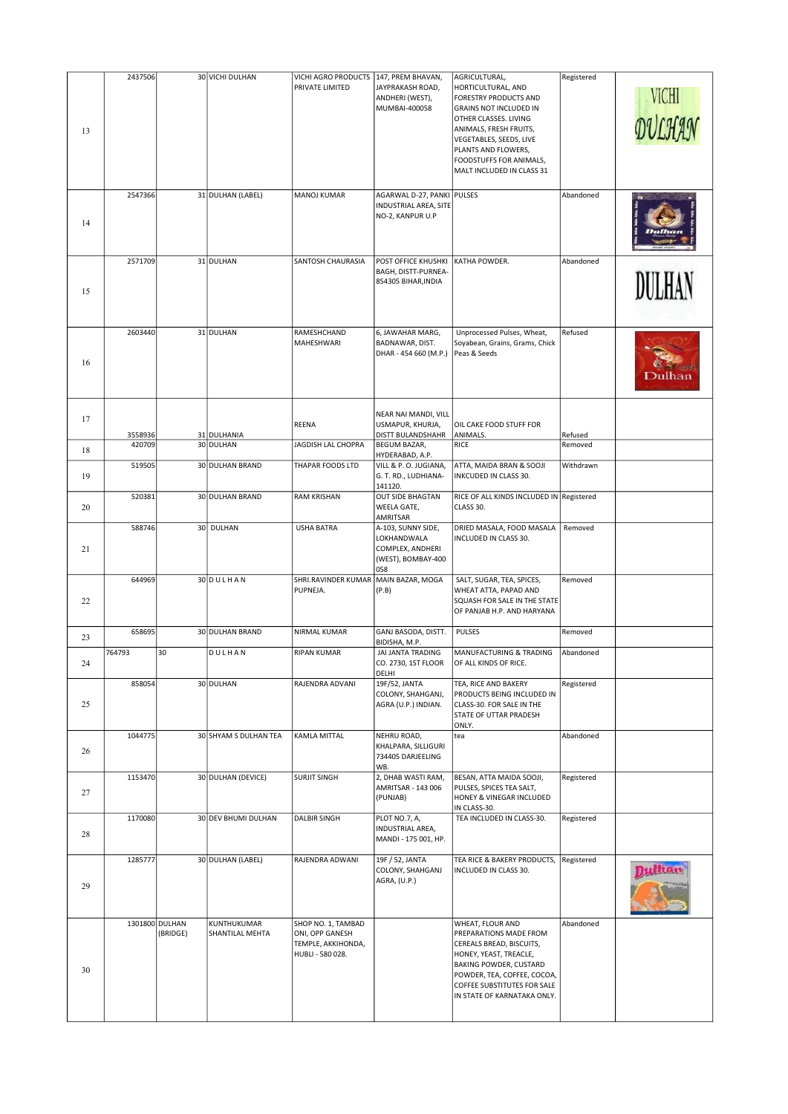| 13 | 2437506 |                            | 30 VICHI DULHAN                | VICHI AGRO PRODUCTS<br>PRIVATE LIMITED                                          | 147, PREM BHAVAN,<br>JAYPRAKASH ROAD,<br>ANDHERI (WEST),<br>MUMBAI-400058                      | AGRICULTURAL,<br>HORTICULTURAL, AND<br><b>FORESTRY PRODUCTS AND</b><br><b>GRAINS NOT INCLUDED IN</b><br>OTHER CLASSES. LIVING<br>ANIMALS, FRESH FRUITS,<br>VEGETABLES, SEEDS, LIVE<br>PLANTS AND FLOWERS,<br>FOODSTUFFS FOR ANIMALS,<br>MALT INCLUDED IN CLASS 31 | Registered | VICHI         |
|----|---------|----------------------------|--------------------------------|---------------------------------------------------------------------------------|------------------------------------------------------------------------------------------------|-------------------------------------------------------------------------------------------------------------------------------------------------------------------------------------------------------------------------------------------------------------------|------------|---------------|
| 14 | 2547366 |                            | 31 DULHAN (LABEL)              | <b>MANOJ KUMAR</b>                                                              | AGARWAL D-27, PANKI   PULSES<br>INDUSTRIAL AREA, SITE<br>NO-2, KANPUR U.P                      |                                                                                                                                                                                                                                                                   | Abandoned  |               |
| 15 | 2571709 |                            | 31 DULHAN                      | SANTOSH CHAURASIA                                                               | POST OFFICE KHUSHKI<br>BAGH, DISTT-PURNEA-<br>854305 BIHAR, INDIA                              | KATHA POWDER.                                                                                                                                                                                                                                                     | Abandoned  | <b>DULHAN</b> |
| 16 | 2603440 |                            | 31 DULHAN                      | RAMESHCHAND<br>MAHESHWARI                                                       | 6, JAWAHAR MARG,<br>BADNAWAR, DIST.<br>DHAR - 454 660 (M.P.)                                   | Unprocessed Pulses, Wheat,<br>Soyabean, Grains, Grams, Chick<br>Peas & Seeds                                                                                                                                                                                      | Refused    |               |
| 17 | 3558936 |                            | 31 DULHANIA                    | REENA                                                                           | NEAR NAI MANDI, VILL<br>USMAPUR, KHURJA,<br>DISTT BULANDSHAHR                                  | OIL CAKE FOOD STUFF FOR<br>ANIMALS.                                                                                                                                                                                                                               | Refused    |               |
| 18 | 420709  |                            | 30 DULHAN                      | JAGDISH LAL CHOPRA                                                              | BEGUM BAZAR,<br>HYDERABAD, A.P.                                                                | RICE                                                                                                                                                                                                                                                              | Removed    |               |
| 19 | 519505  |                            | 30 DULHAN BRAND                | THAPAR FOODS LTD                                                                | VILL & P.O. JUGIANA,<br>G. T. RD., LUDHIANA-<br>141120.                                        | ATTA, MAIDA BRAN & SOOJI<br>INKCUDED IN CLASS 30.                                                                                                                                                                                                                 | Withdrawn  |               |
| 20 | 520381  |                            | 30 DULHAN BRAND                | <b>RAM KRISHAN</b>                                                              | <b>OUT SIDE BHAGTAN</b><br>WEELA GATE,                                                         | RICE OF ALL KINDS INCLUDED IN Registered<br>CLASS 30.                                                                                                                                                                                                             |            |               |
| 21 | 588746  |                            | 30 DULHAN                      | <b>USHA BATRA</b>                                                               | AMRITSAR<br>A-103, SUNNY SIDE,<br>LOKHANDWALA<br>COMPLEX, ANDHERI<br>(WEST), BOMBAY-400<br>058 | DRIED MASALA, FOOD MASALA<br>INCLUDED IN CLASS 30.                                                                                                                                                                                                                | Removed    |               |
| 22 | 644969  |                            | 30 DULHAN                      | SHRI.RAVINDER KUMAR<br>PUPNEJA.                                                 | MAIN BAZAR, MOGA<br>(P.B)                                                                      | SALT, SUGAR, TEA, SPICES,<br>WHEAT ATTA, PAPAD AND<br>SQUASH FOR SALE IN THE STATE<br>OF PANJAB H.P. AND HARYANA                                                                                                                                                  | Removed    |               |
| 23 | 658695  |                            | 30 DULHAN BRAND                | NIRMAL KUMAR                                                                    | GANJ BASODA, DISTT.<br>BIDISHA, M.P.                                                           | <b>PULSES</b>                                                                                                                                                                                                                                                     | Removed    |               |
| 24 | 764793  | 30                         | DULHAN                         | <b>RIPAN KUMAR</b>                                                              | JAI JANTA TRADING<br>CO. 2730, 1ST FLOOR<br>DELHI                                              | MANUFACTURING & TRADING<br>OF ALL KINDS OF RICE.                                                                                                                                                                                                                  | Abandoned  |               |
| 25 | 858054  |                            | 30 DULHAN                      | RAJENDRA ADVANI                                                                 | 19F/52, JANTA<br>COLONY, SHAHGANJ,<br>AGRA (U.P.) INDIAN.                                      | TEA, RICE AND BAKERY<br>PRODUCTS BEING INCLUDED IN<br>CLASS-30. FOR SALE IN THE<br>STATE OF UTTAR PRADESH<br>ONLY.                                                                                                                                                | Registered |               |
| 26 | 1044775 |                            | 30 SHYAM S DULHAN TEA          | <b>KAMLA MITTAL</b>                                                             | NEHRU ROAD,<br>KHALPARA, SILLIGURI<br>734405 DARJEELING<br>WB.                                 | tea                                                                                                                                                                                                                                                               | Abandoned  |               |
| 27 | 1153470 |                            | 30 DULHAN (DEVICE)             | <b>SURJIT SINGH</b>                                                             | 2, DHAB WASTI RAM,<br>AMRITSAR - 143 006<br>(PUNJAB)                                           | BESAN, ATTA MAIDA SOOJI,<br>PULSES, SPICES TEA SALT,<br>HONEY & VINEGAR INCLUDED<br>IN CLASS-30.                                                                                                                                                                  | Registered |               |
| 28 | 1170080 |                            | 30 DEV BHUMI DULHAN            | <b>DALBIR SINGH</b>                                                             | PLOT NO.7, A,<br>INDUSTRIAL AREA,<br>MANDI - 175 001, HP.                                      | TEA INCLUDED IN CLASS-30.                                                                                                                                                                                                                                         | Registered |               |
| 29 | 1285777 |                            | 30 DULHAN (LABEL)              | RAJENDRA ADWANI                                                                 | 19F / 52, JANTA<br>COLONY, SHAHGANJ<br>AGRA, (U.P.)                                            | TEA RICE & BAKERY PRODUCTS,<br>INCLUDED IN CLASS 30.                                                                                                                                                                                                              | Registered |               |
| 30 |         | 1301800 DULHAN<br>(BRIDGE) | KUNTHUKUMAR<br>SHANTILAL MEHTA | SHOP NO. 1, TAMBAD<br>ONI, OPP GANESH<br>TEMPLE, AKKIHONDA,<br>HUBLI - 580 028. |                                                                                                | WHEAT, FLOUR AND<br>PREPARATIONS MADE FROM<br>CEREALS BREAD, BISCUITS,<br>HONEY, YEAST, TREACLE,<br>BAKING POWDER, CUSTARD<br>POWDER, TEA, COFFEE, COCOA,<br>COFFEE SUBSTITUTES FOR SALE<br>IN STATE OF KARNATAKA ONLY.                                           | Abandoned  |               |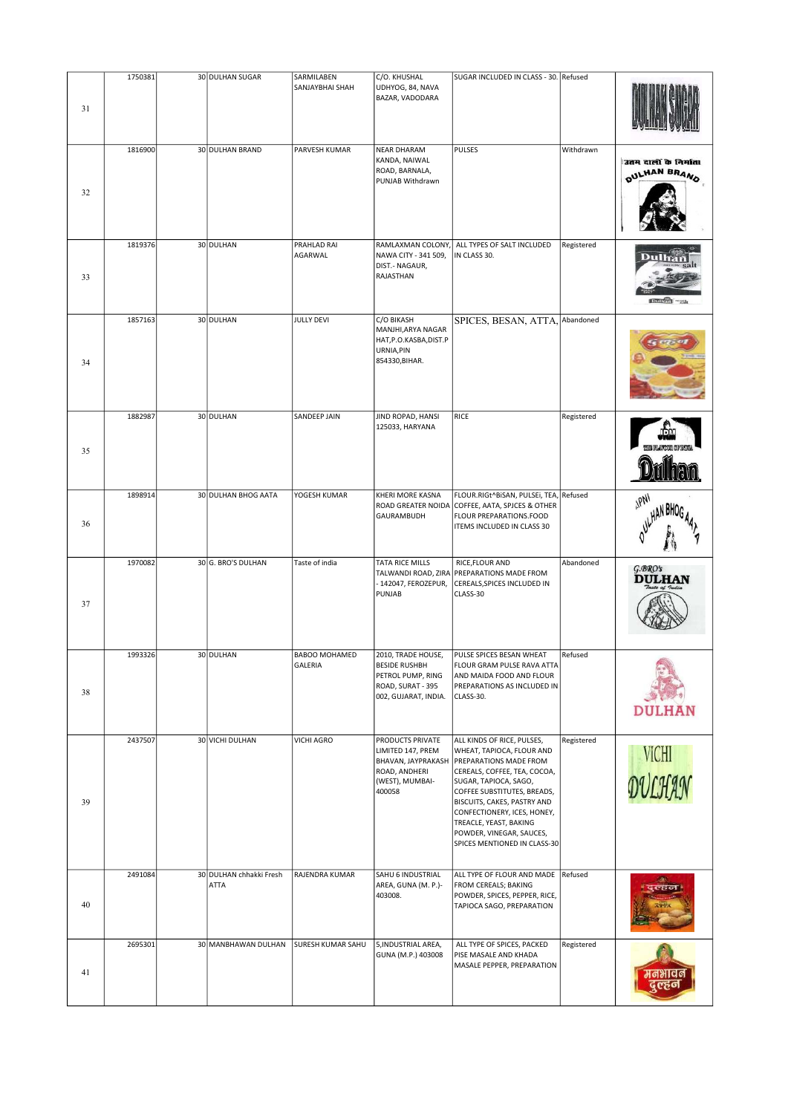|    | 1750381 | 30 DULHAN SUGAR                 | SARMILABEN               | C/O. KHUSHAL                                                                                              | SUGAR INCLUDED IN CLASS - 30. Refused                                                                                                                                                                                                                                                                                                |            |                                       |
|----|---------|---------------------------------|--------------------------|-----------------------------------------------------------------------------------------------------------|--------------------------------------------------------------------------------------------------------------------------------------------------------------------------------------------------------------------------------------------------------------------------------------------------------------------------------------|------------|---------------------------------------|
| 31 |         |                                 | SANJAYBHAI SHAH          | UDHYOG, 84, NAVA<br>BAZAR, VADODARA                                                                       |                                                                                                                                                                                                                                                                                                                                      |            |                                       |
| 32 | 1816900 | 30 DULHAN BRAND                 | PARVESH KUMAR            | <b>NEAR DHARAM</b><br>KANDA, NAIWAL<br>ROAD, BARNALA,<br>PUNJAB Withdrawn                                 | PULSES                                                                                                                                                                                                                                                                                                                               | Withdrawn  | उतम दालों के निर्माता<br>OULHAN BRAND |
| 33 | 1819376 | 30 DULHAN                       | PRAHLAD RAI<br>AGARWAL   | RAMLAXMAN COLONY,<br>NAWA CITY - 341 509,<br>DIST.- NAGAUR,<br>RAJASTHAN                                  | ALL TYPES OF SALT INCLUDED<br>IN CLASS 30.                                                                                                                                                                                                                                                                                           | Registered |                                       |
| 34 | 1857163 | 30 DULHAN                       | <b>JULLY DEVI</b>        | C/O BIKASH<br>MANJHI, ARYA NAGAR<br>HAT, P.O.KASBA, DIST.P<br>URNIA, PIN<br>854330, BIHAR.                | SPICES, BESAN, ATTA,                                                                                                                                                                                                                                                                                                                 | Abandoned  |                                       |
| 35 | 1882987 | 30 DULHAN                       | SANDEEP JAIN             | JIND ROPAD, HANSI<br>125033, HARYANA                                                                      | RICE                                                                                                                                                                                                                                                                                                                                 | Registered |                                       |
| 36 | 1898914 | 30 DULHAN BHOG AATA             | YOGESH KUMAR             | KHERI MORE KASNA<br>GAURAMBUDH                                                                            | FLOUR.RIGt^BISAN, PULSEI, TEA,<br>ROAD GREATER NOIDA COFFEE, AATA, SPJCES & OTHER<br>FLOUR PREPARATIONS.FOOD<br>ITEMS INCLUDED IN CLASS 30                                                                                                                                                                                           | Refused    | <b>IPN</b>                            |
| 37 | 1970082 | 30 G. BRO'S DULHAN              | Taste of india           | TATA RICE MILLS<br>142047, FEROZEPUR,<br>PUNJAB                                                           | RICE, FLOUR AND<br>TALWANDI ROAD, ZIRA PREPARATIONS MADE FROM<br>CEREALS, SPICES INCLUDED IN<br>CLASS-30                                                                                                                                                                                                                             | Abandoned  | $G$ .BRO's<br><b>DULHAN</b>           |
| 38 | 1993326 | 30 DULHAN                       | BABOO MOHAMED<br>GALERIA | 2010, TRADE HOUSE,<br>BESIDE RUSHBH<br>PETROL PUMP, RING<br>ROAD, SURAT - 395<br>002, GUJARAT, INDIA.     | PULSE SPICES BESAN WHEAT<br>FLOUR GRAM PULSE RAVA ATTA<br>AND MAIDA FOOD AND FLOUR<br>PREPARATIONS AS INCLUDED IN<br>CLASS-30.                                                                                                                                                                                                       | Refused    | <b>DULHAN</b>                         |
| 39 | 2437507 | 30 VICHI DULHAN                 | VICHI AGRO               | PRODUCTS PRIVATE<br>LIMITED 147, PREM<br>BHAVAN, JAYPRAKASH<br>ROAD, ANDHERI<br>(WEST), MUMBAI-<br>400058 | ALL KINDS OF RICE, PULSES,<br>WHEAT, TAPIOCA, FLOUR AND<br><b>PREPARATIONS MADE FROM</b><br>CEREALS, COFFEE, TEA, COCOA,<br>SUGAR, TAPIOCA, SAGO,<br>COFFEE SUBSTITUTES, BREADS,<br>BISCUITS, CAKES, PASTRY AND<br>CONFECTIONERY, ICES, HONEY,<br>TREACLE, YEAST, BAKING<br>POWDER, VINEGAR, SAUCES,<br>SPICES MENTIONED IN CLASS-30 | Registered | VICHI<br>DULHAN                       |
| 40 | 2491084 | 30 DULHAN chhakki Fresh<br>ATTA | RAJENDRA KUMAR           | SAHU 6 INDUSTRIAL<br>AREA, GUNA (M. P.)-<br>403008.                                                       | ALL TYPE OF FLOUR AND MADE<br>FROM CEREALS; BAKING<br>POWDER, SPICES, PEPPER, RICE,<br>TAPIOCA SAGO, PREPARATION                                                                                                                                                                                                                     | Refused    | दुल्हज                                |
| 41 | 2695301 | 30 MANBHAWAN DULHAN             | SURESH KUMAR SAHU        | 5, INDUSTRIAL AREA,<br>GUNA (M.P.) 403008                                                                 | ALL TYPE OF SPICES, PACKED<br>PISE MASALE AND KHADA<br>MASALE PEPPER, PREPARATION                                                                                                                                                                                                                                                    | Registered | मनभावन<br>दुल्हन                      |